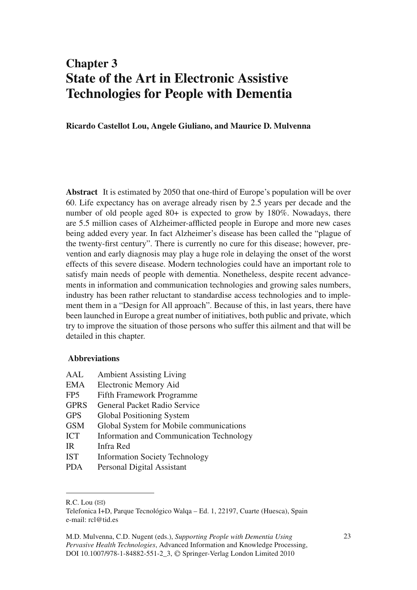# **Chapter 3 State of the Art in Electronic Assistive Technologies for People with Dementia**

**Ricardo Castellot Lou, Angele Giuliano, and Maurice D. Mulvenna**

**Abstract** It is estimated by 2050 that one-third of Europe's population will be over 60. Life expectancy has on average already risen by 2.5 years per decade and the number of old people aged 80+ is expected to grow by 180%. Nowadays, there are 5.5 million cases of Alzheimer-afflicted people in Europe and more new cases being added every year. In fact Alzheimer's disease has been called the "plague of the twenty-first century". There is currently no cure for this disease; however, prevention and early diagnosis may play a huge role in delaying the onset of the worst effects of this severe disease. Modern technologies could have an important role to satisfy main needs of people with dementia. Nonetheless, despite recent advancements in information and communication technologies and growing sales numbers, industry has been rather reluctant to standardise access technologies and to implement them in a "Design for All approach". Because of this, in last years, there have been launched in Europe a great number of initiatives, both public and private, which try to improve the situation of those persons who suffer this ailment and that will be detailed in this chapter.

#### **Abbreviations**

| AAL                     | <b>Ambient Assisting Living</b>          |
|-------------------------|------------------------------------------|
| EMA                     | Electronic Memory Aid                    |
| FP5                     | <b>Fifth Framework Programme</b>         |
| <b>GPRS</b>             | General Packet Radio Service             |
| GPS                     | <b>Global Positioning System</b>         |
| GSM                     | Global System for Mobile communications  |
| <b>ICT</b>              | Information and Communication Technology |
| IR.                     | Infra Red                                |
| <b>IST</b>              | <b>Information Society Technology</b>    |
| $\mathbf{m} \mathbf{m}$ | $1 \mathbb{R}^+$ $1 \cdot 1 \cdot 1$     |

PDA Personal Digital Assistant

 $R.C.$  Lou  $(\boxtimes)$ 

Telefonica I+D, Parque Tecnológico Walqa – Ed. 1, 22197, Cuarte (Huesca), Spain e-mail: rcl@tid.es

M.D. Mulvenna, C.D. Nugent (eds.), *Supporting People with Dementia Using* 23 *Pervasive Health Technologies*, Advanced Information and Knowledge Processing, DOI 10.1007/978-1-84882-551-2\_3, © Springer-Verlag London Limited 2010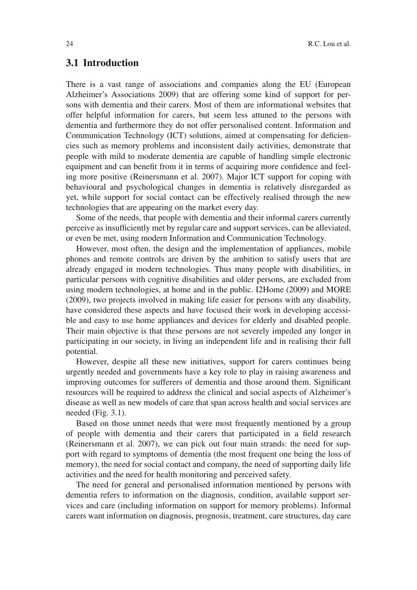## **3.1 Introduction**

There is a vast range of associations and companies along the EU (European Alzheimer's Associations 2009) that are offering some kind of support for persons with dementia and their carers. Most of them are informational websites that offer helpful information for carers, but seem less attuned to the persons with dementia and furthermore they do not offer personalised content. Information and Communication Technology (ICT) solutions, aimed at compensating for deficiencies such as memory problems and inconsistent daily activities, demonstrate that people with mild to moderate dementia are capable of handling simple electronic equipment and can benefit from it in terms of acquiring more confidence and feeling more positive (Reinersmann et al. 2007). Major ICT support for coping with behavioural and psychological changes in dementia is relatively disregarded as yet, while support for social contact can be effectively realised through the new technologies that are appearing on the market every day.

Some of the needs, that people with dementia and their informal carers currently perceive as insufficiently met by regular care and support services, can be alleviated, or even be met, using modern Information and Communication Technology.

However, most often, the design and the implementation of appliances, mobile phones and remote controls are driven by the ambition to satisfy users that are already engaged in modern technologies. Thus many people with disabilities, in particular persons with cognitive disabilities and older persons, are excluded from using modern technologies, at home and in the public. I2Home (2009) and MORE (2009), two projects involved in making life easier for persons with any disability, have considered these aspects and have focused their work in developing accessible and easy to use home appliances and devices for elderly and disabled people. Their main objective is that these persons are not severely impeded any longer in participating in our society, in living an independent life and in realising their full potential.

However, despite all these new initiatives, support for carers continues being urgently needed and governments have a key role to play in raising awareness and improving outcomes for sufferers of dementia and those around them. Significant resources will be required to address the clinical and social aspects of Alzheimer's disease as well as new models of care that span across health and social services are needed (Fig. 3.1).

Based on those unmet needs that were most frequently mentioned by a group of people with dementia and their carers that participated in a field research (Reinersmann et al. 2007), we can pick out four main strands: the need for support with regard to symptoms of dementia (the most frequent one being the loss of memory), the need for social contact and company, the need of supporting daily life activities and the need for health monitoring and perceived safety.

The need for general and personalised information mentioned by persons with dementia refers to information on the diagnosis, condition, available support services and care (including information on support for memory problems). Informal carers want information on diagnosis, prognosis, treatment, care structures, day care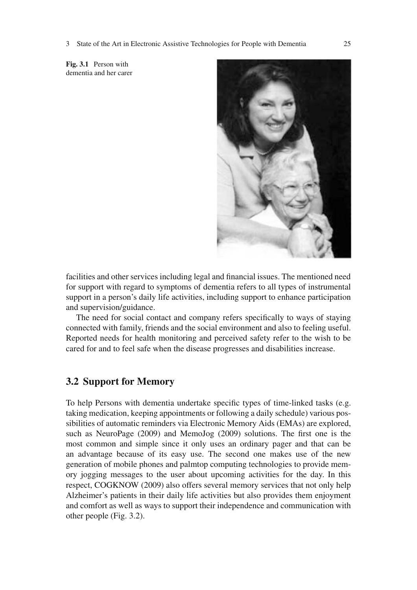**Fig. 3.1** Person with dementia and her carer



facilities and other services including legal and financial issues. The mentioned need for support with regard to symptoms of dementia refers to all types of instrumental support in a person's daily life activities, including support to enhance participation and supervision/guidance.

The need for social contact and company refers specifically to ways of staying connected with family, friends and the social environment and also to feeling useful. Reported needs for health monitoring and perceived safety refer to the wish to be cared for and to feel safe when the disease progresses and disabilities increase.

## **3.2 Support for Memory**

To help Persons with dementia undertake specific types of time-linked tasks (e.g. taking medication, keeping appointments or following a daily schedule) various possibilities of automatic reminders via Electronic Memory Aids (EMAs) are explored, such as NeuroPage (2009) and MemoJog (2009) solutions. The first one is the most common and simple since it only uses an ordinary pager and that can be an advantage because of its easy use. The second one makes use of the new generation of mobile phones and palmtop computing technologies to provide memory jogging messages to the user about upcoming activities for the day. In this respect, COGKNOW (2009) also offers several memory services that not only help Alzheimer's patients in their daily life activities but also provides them enjoyment and comfort as well as ways to support their independence and communication with other people (Fig. 3.2).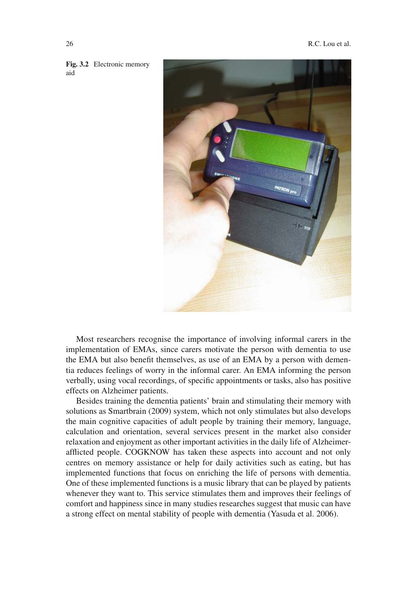**Fig. 3.2** Electronic memory aid



Most researchers recognise the importance of involving informal carers in the implementation of EMAs, since carers motivate the person with dementia to use the EMA but also benefit themselves, as use of an EMA by a person with dementia reduces feelings of worry in the informal carer. An EMA informing the person verbally, using vocal recordings, of specific appointments or tasks, also has positive effects on Alzheimer patients.

Besides training the dementia patients' brain and stimulating their memory with solutions as Smartbrain (2009) system, which not only stimulates but also develops the main cognitive capacities of adult people by training their memory, language, calculation and orientation, several services present in the market also consider relaxation and enjoyment as other important activities in the daily life of Alzheimerafflicted people. COGKNOW has taken these aspects into account and not only centres on memory assistance or help for daily activities such as eating, but has implemented functions that focus on enriching the life of persons with dementia. One of these implemented functions is a music library that can be played by patients whenever they want to. This service stimulates them and improves their feelings of comfort and happiness since in many studies researches suggest that music can have a strong effect on mental stability of people with dementia (Yasuda et al. 2006).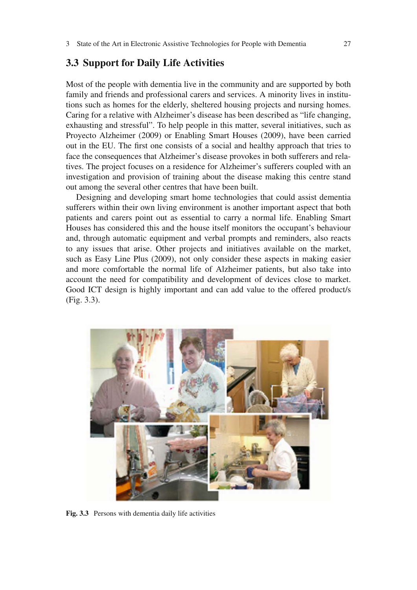#### **3.3 Support for Daily Life Activities**

Most of the people with dementia live in the community and are supported by both family and friends and professional carers and services. A minority lives in institutions such as homes for the elderly, sheltered housing projects and nursing homes. Caring for a relative with Alzheimer's disease has been described as "life changing, exhausting and stressful". To help people in this matter, several initiatives, such as Proyecto Alzheimer (2009) or Enabling Smart Houses (2009), have been carried out in the EU. The first one consists of a social and healthy approach that tries to face the consequences that Alzheimer's disease provokes in both sufferers and relatives. The project focuses on a residence for Alzheimer's sufferers coupled with an investigation and provision of training about the disease making this centre stand out among the several other centres that have been built.

Designing and developing smart home technologies that could assist dementia sufferers within their own living environment is another important aspect that both patients and carers point out as essential to carry a normal life. Enabling Smart Houses has considered this and the house itself monitors the occupant's behaviour and, through automatic equipment and verbal prompts and reminders, also reacts to any issues that arise. Other projects and initiatives available on the market, such as Easy Line Plus (2009), not only consider these aspects in making easier and more comfortable the normal life of Alzheimer patients, but also take into account the need for compatibility and development of devices close to market. Good ICT design is highly important and can add value to the offered product/s (Fig. 3.3).



Fig. 3.3 Persons with dementia daily life activities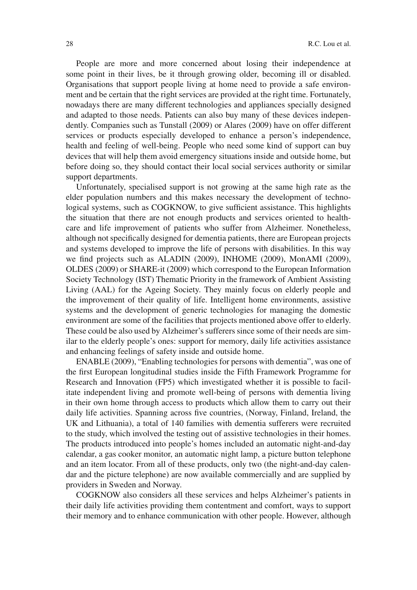People are more and more concerned about losing their independence at some point in their lives, be it through growing older, becoming ill or disabled. Organisations that support people living at home need to provide a safe environment and be certain that the right services are provided at the right time. Fortunately, nowadays there are many different technologies and appliances specially designed and adapted to those needs. Patients can also buy many of these devices independently. Companies such as Tunstall (2009) or Alares (2009) have on offer different services or products especially developed to enhance a person's independence, health and feeling of well-being. People who need some kind of support can buy devices that will help them avoid emergency situations inside and outside home, but before doing so, they should contact their local social services authority or similar support departments.

Unfortunately, specialised support is not growing at the same high rate as the elder population numbers and this makes necessary the development of technological systems, such as COGKNOW, to give sufficient assistance. This highlights the situation that there are not enough products and services oriented to healthcare and life improvement of patients who suffer from Alzheimer. Nonetheless, although not specifically designed for dementia patients, there are European projects and systems developed to improve the life of persons with disabilities. In this way we find projects such as ALADIN (2009), INHOME (2009), MonAMI (2009), OLDES (2009) or SHARE-it (2009) which correspond to the European Information Society Technology (IST) Thematic Priority in the framework of Ambient Assisting Living (AAL) for the Ageing Society. They mainly focus on elderly people and the improvement of their quality of life. Intelligent home environments, assistive systems and the development of generic technologies for managing the domestic environment are some of the facilities that projects mentioned above offer to elderly. These could be also used by Alzheimer's sufferers since some of their needs are similar to the elderly people's ones: support for memory, daily life activities assistance and enhancing feelings of safety inside and outside home.

ENABLE (2009), "Enabling technologies for persons with dementia", was one of the first European longitudinal studies inside the Fifth Framework Programme for Research and Innovation (FP5) which investigated whether it is possible to facilitate independent living and promote well-being of persons with dementia living in their own home through access to products which allow them to carry out their daily life activities. Spanning across five countries, (Norway, Finland, Ireland, the UK and Lithuania), a total of 140 families with dementia sufferers were recruited to the study, which involved the testing out of assistive technologies in their homes. The products introduced into people's homes included an automatic night-and-day calendar, a gas cooker monitor, an automatic night lamp, a picture button telephone and an item locator. From all of these products, only two (the night-and-day calendar and the picture telephone) are now available commercially and are supplied by providers in Sweden and Norway.

COGKNOW also considers all these services and helps Alzheimer's patients in their daily life activities providing them contentment and comfort, ways to support their memory and to enhance communication with other people. However, although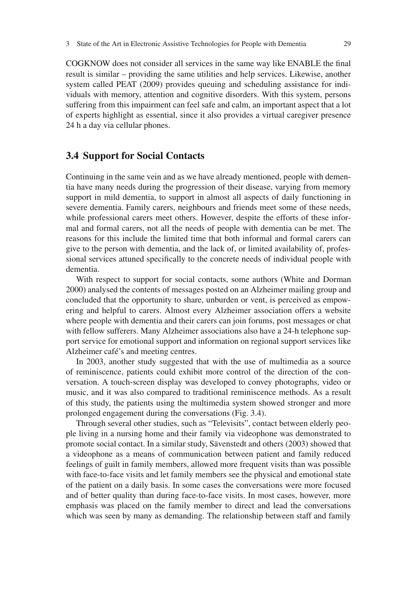COGKNOW does not consider all services in the same way like ENABLE the final result is similar – providing the same utilities and help services. Likewise, another system called PEAT (2009) provides queuing and scheduling assistance for individuals with memory, attention and cognitive disorders. With this system, persons suffering from this impairment can feel safe and calm, an important aspect that a lot of experts highlight as essential, since it also provides a virtual caregiver presence 24 h a day via cellular phones.

#### **3.4 Support for Social Contacts**

Continuing in the same vein and as we have already mentioned, people with dementia have many needs during the progression of their disease, varying from memory support in mild dementia, to support in almost all aspects of daily functioning in severe dementia. Family carers, neighbours and friends meet some of these needs, while professional carers meet others. However, despite the efforts of these informal and formal carers, not all the needs of people with dementia can be met. The reasons for this include the limited time that both informal and formal carers can give to the person with dementia, and the lack of, or limited availability of, professional services attuned specifically to the concrete needs of individual people with dementia.

With respect to support for social contacts, some authors (White and Dorman 2000) analysed the contents of messages posted on an Alzheimer mailing group and concluded that the opportunity to share, unburden or vent, is perceived as empowering and helpful to carers. Almost every Alzheimer association offers a website where people with dementia and their carers can join forums, post messages or chat with fellow sufferers. Many Alzheimer associations also have a 24-h telephone support service for emotional support and information on regional support services like Alzheimer café's and meeting centres.

In 2003, another study suggested that with the use of multimedia as a source of reminiscence, patients could exhibit more control of the direction of the conversation. A touch-screen display was developed to convey photographs, video or music, and it was also compared to traditional reminiscence methods. As a result of this study, the patients using the multimedia system showed stronger and more prolonged engagement during the conversations (Fig. 3.4).

Through several other studies, such as "Televisits", contact between elderly people living in a nursing home and their family via videophone was demonstrated to promote social contact. In a similar study, Sävenstedt and others (2003) showed that a videophone as a means of communication between patient and family reduced feelings of guilt in family members, allowed more frequent visits than was possible with face-to-face visits and let family members see the physical and emotional state of the patient on a daily basis. In some cases the conversations were more focused and of better quality than during face-to-face visits. In most cases, however, more emphasis was placed on the family member to direct and lead the conversations which was seen by many as demanding. The relationship between staff and family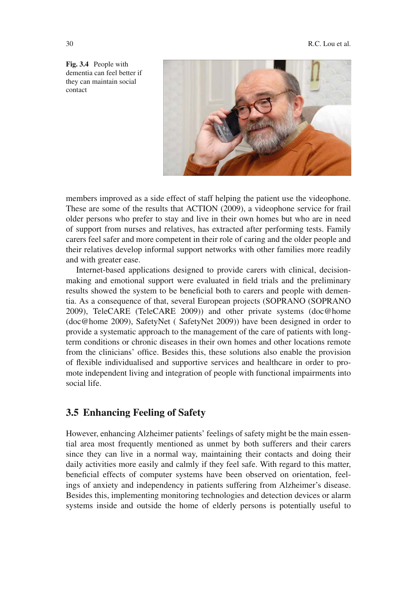**Fig. 3.4** People with dementia can feel better if they can maintain social contact



members improved as a side effect of staff helping the patient use the videophone. These are some of the results that ACTION (2009), a videophone service for frail older persons who prefer to stay and live in their own homes but who are in need of support from nurses and relatives, has extracted after performing tests. Family carers feel safer and more competent in their role of caring and the older people and their relatives develop informal support networks with other families more readily and with greater ease.

Internet-based applications designed to provide carers with clinical, decisionmaking and emotional support were evaluated in field trials and the preliminary results showed the system to be beneficial both to carers and people with dementia. As a consequence of that, several European projects (SOPRANO (SOPRANO 2009), TeleCARE (TeleCARE 2009)) and other private systems (doc@home (doc@home 2009), SafetyNet ( SafetyNet 2009)) have been designed in order to provide a systematic approach to the management of the care of patients with longterm conditions or chronic diseases in their own homes and other locations remote from the clinicians' office. Besides this, these solutions also enable the provision of flexible individualised and supportive services and healthcare in order to promote independent living and integration of people with functional impairments into social life.

## **3.5 Enhancing Feeling of Safety**

However, enhancing Alzheimer patients' feelings of safety might be the main essential area most frequently mentioned as unmet by both sufferers and their carers since they can live in a normal way, maintaining their contacts and doing their daily activities more easily and calmly if they feel safe. With regard to this matter, beneficial effects of computer systems have been observed on orientation, feelings of anxiety and independency in patients suffering from Alzheimer's disease. Besides this, implementing monitoring technologies and detection devices or alarm systems inside and outside the home of elderly persons is potentially useful to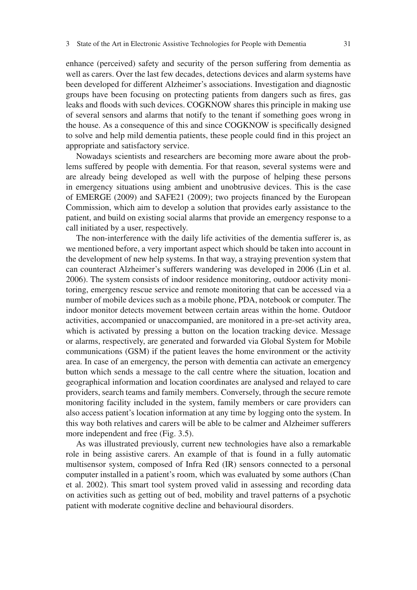enhance (perceived) safety and security of the person suffering from dementia as well as carers. Over the last few decades, detections devices and alarm systems have been developed for different Alzheimer's associations. Investigation and diagnostic groups have been focusing on protecting patients from dangers such as fires, gas leaks and floods with such devices. COGKNOW shares this principle in making use of several sensors and alarms that notify to the tenant if something goes wrong in the house. As a consequence of this and since COGKNOW is specifically designed to solve and help mild dementia patients, these people could find in this project an appropriate and satisfactory service.

Nowadays scientists and researchers are becoming more aware about the problems suffered by people with dementia. For that reason, several systems were and are already being developed as well with the purpose of helping these persons in emergency situations using ambient and unobtrusive devices. This is the case of EMERGE (2009) and SAFE21 (2009); two projects financed by the European Commission, which aim to develop a solution that provides early assistance to the patient, and build on existing social alarms that provide an emergency response to a call initiated by a user, respectively.

The non-interference with the daily life activities of the dementia sufferer is, as we mentioned before, a very important aspect which should be taken into account in the development of new help systems. In that way, a straying prevention system that can counteract Alzheimer's sufferers wandering was developed in 2006 (Lin et al. 2006). The system consists of indoor residence monitoring, outdoor activity monitoring, emergency rescue service and remote monitoring that can be accessed via a number of mobile devices such as a mobile phone, PDA, notebook or computer. The indoor monitor detects movement between certain areas within the home. Outdoor activities, accompanied or unaccompanied, are monitored in a pre-set activity area, which is activated by pressing a button on the location tracking device. Message or alarms, respectively, are generated and forwarded via Global System for Mobile communications (GSM) if the patient leaves the home environment or the activity area. In case of an emergency, the person with dementia can activate an emergency button which sends a message to the call centre where the situation, location and geographical information and location coordinates are analysed and relayed to care providers, search teams and family members. Conversely, through the secure remote monitoring facility included in the system, family members or care providers can also access patient's location information at any time by logging onto the system. In this way both relatives and carers will be able to be calmer and Alzheimer sufferers more independent and free (Fig. 3.5).

As was illustrated previously, current new technologies have also a remarkable role in being assistive carers. An example of that is found in a fully automatic multisensor system, composed of Infra Red (IR) sensors connected to a personal computer installed in a patient's room, which was evaluated by some authors (Chan et al. 2002). This smart tool system proved valid in assessing and recording data on activities such as getting out of bed, mobility and travel patterns of a psychotic patient with moderate cognitive decline and behavioural disorders.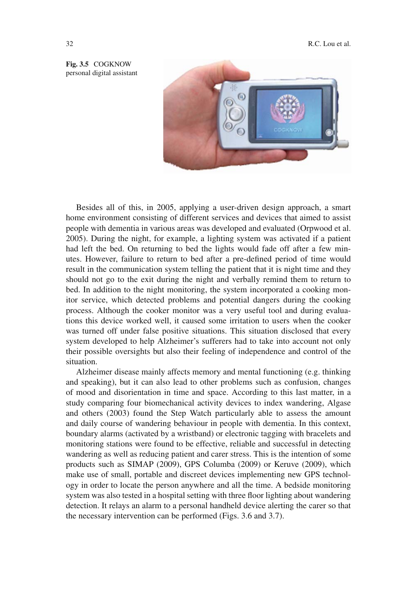**Fig. 3.5** COGKNOW personal digital assistant



Besides all of this, in 2005, applying a user-driven design approach, a smart home environment consisting of different services and devices that aimed to assist people with dementia in various areas was developed and evaluated (Orpwood et al. 2005). During the night, for example, a lighting system was activated if a patient had left the bed. On returning to bed the lights would fade off after a few minutes. However, failure to return to bed after a pre-defined period of time would result in the communication system telling the patient that it is night time and they should not go to the exit during the night and verbally remind them to return to bed. In addition to the night monitoring, the system incorporated a cooking monitor service, which detected problems and potential dangers during the cooking process. Although the cooker monitor was a very useful tool and during evaluations this device worked well, it caused some irritation to users when the cooker was turned off under false positive situations. This situation disclosed that every system developed to help Alzheimer's sufferers had to take into account not only their possible oversights but also their feeling of independence and control of the situation.

Alzheimer disease mainly affects memory and mental functioning (e.g. thinking and speaking), but it can also lead to other problems such as confusion, changes of mood and disorientation in time and space. According to this last matter, in a study comparing four biomechanical activity devices to index wandering, Algase and others (2003) found the Step Watch particularly able to assess the amount and daily course of wandering behaviour in people with dementia. In this context, boundary alarms (activated by a wristband) or electronic tagging with bracelets and monitoring stations were found to be effective, reliable and successful in detecting wandering as well as reducing patient and carer stress. This is the intention of some products such as SIMAP (2009), GPS Columba (2009) or Keruve (2009), which make use of small, portable and discreet devices implementing new GPS technology in order to locate the person anywhere and all the time. A bedside monitoring system was also tested in a hospital setting with three floor lighting about wandering detection. It relays an alarm to a personal handheld device alerting the carer so that the necessary intervention can be performed (Figs. 3.6 and 3.7).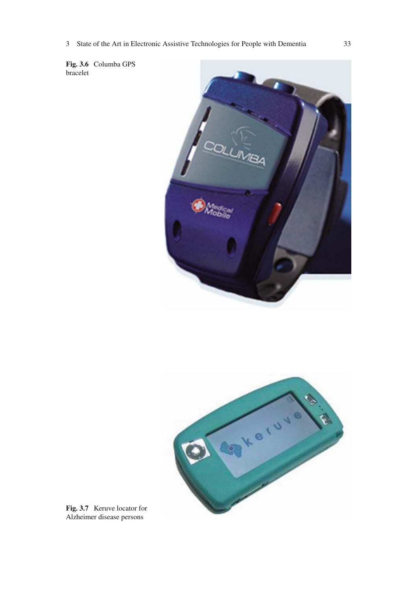





**Fig. 3.7** Keruve locator for Alzheimer disease persons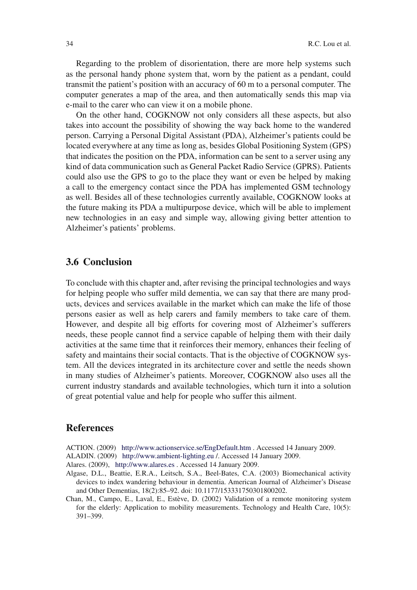Regarding to the problem of disorientation, there are more help systems such as the personal handy phone system that, worn by the patient as a pendant, could transmit the patient's position with an accuracy of 60 m to a personal computer. The computer generates a map of the area, and then automatically sends this map via e-mail to the carer who can view it on a mobile phone.

On the other hand, COGKNOW not only considers all these aspects, but also takes into account the possibility of showing the way back home to the wandered person. Carrying a Personal Digital Assistant (PDA), Alzheimer's patients could be located everywhere at any time as long as, besides Global Positioning System (GPS) that indicates the position on the PDA, information can be sent to a server using any kind of data communication such as General Packet Radio Service (GPRS). Patients could also use the GPS to go to the place they want or even be helped by making a call to the emergency contact since the PDA has implemented GSM technology as well. Besides all of these technologies currently available, COGKNOW looks at the future making its PDA a multipurpose device, which will be able to implement new technologies in an easy and simple way, allowing giving better attention to Alzheimer's patients' problems.

### **3.6 Conclusion**

To conclude with this chapter and, after revising the principal technologies and ways for helping people who suffer mild dementia, we can say that there are many products, devices and services available in the market which can make the life of those persons easier as well as help carers and family members to take care of them. However, and despite all big efforts for covering most of Alzheimer's sufferers needs, these people cannot find a service capable of helping them with their daily activities at the same time that it reinforces their memory, enhances their feeling of safety and maintains their social contacts. That is the objective of COGKNOW system. All the devices integrated in its architecture cover and settle the needs shown in many studies of Alzheimer's patients. Moreover, COGKNOW also uses all the current industry standards and available technologies, which turn it into a solution of great potential value and help for people who suffer this ailment.

## **References**

ACTION. (2009) http://www.actionservice.se/EngDefault.htm . Accessed 14 January 2009.

ALADIN. (2009) http://www.ambient-lighting.eu /. Accessed 14 January 2009.

Alares. (2009), http://www.alares.es . Accessed 14 January 2009.

Algase, D.L., Beattie, E.R.A., Leitsch, S.A., Beel-Bates, C.A. (2003) Biomechanical activity devices to index wandering behaviour in dementia. American Journal of Alzheimer's Disease and Other Dementias, 18(2):85–92. doi: 10.1177/153331750301800202.

Chan, M., Campo, E., Laval, E., Estève, D. (2002) Validation of a remote monitoring system for the elderly: Application to mobility measurements. Technology and Health Care, 10(5): 391–399.